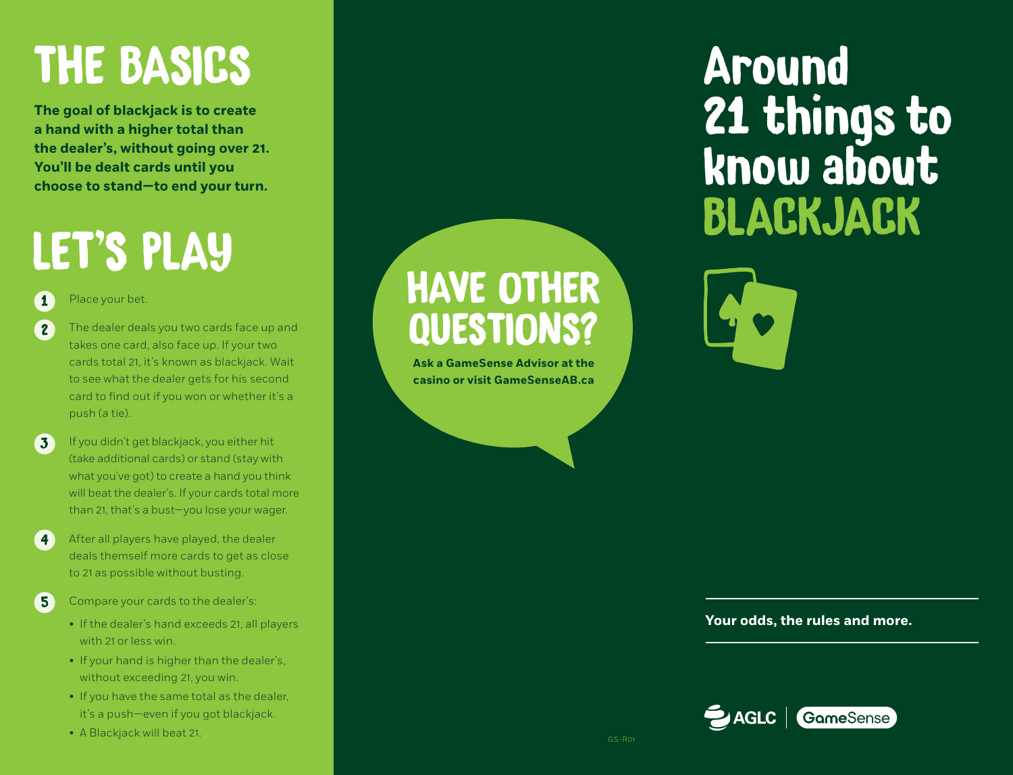# THE BASICS

**The goal of blackjack is to create a hand with a higher total than the dealer's, without going over 21. You'll be dealt cards until you choose to stand—to end your turn.**

# LET'S PLAY

#### Place your bet. 1

The dealer deals you two cards face up and takes one card, also face up. If your two cards total 21, it's known as blackjack. Wait to see what the dealer gets for his second card to find out if you won or whether it's a push (a tie). 2

- If you didn't get blackjack, you either hit (take additional cards) or stand (stay with what you've got) to create a hand you think will beat the dealer's. If your cards total more than 21, that's a bust—you lose your wager. 3
- After all players have played, the dealer deals themself more cards to get as close to 21 as possible without busting. 4
- 5
- Compare your cards to the dealer's:
- If the dealer's hand exceeds 21, all players with 21 or less win.
- If your hand is higher than the dealer's, without exceeding 21, you win.
- If you have the same total as the dealer, it's a push—even if you got blackjack.
- A Blackjack will beat 21.

## HAVE OTHER QUESTIONS?

**Ask a GameSense Advisor at the casino or visit GameSenseAB.ca**

## Around 21 things to know about BLACKJACK



#### **Your odds, the rules and more.**